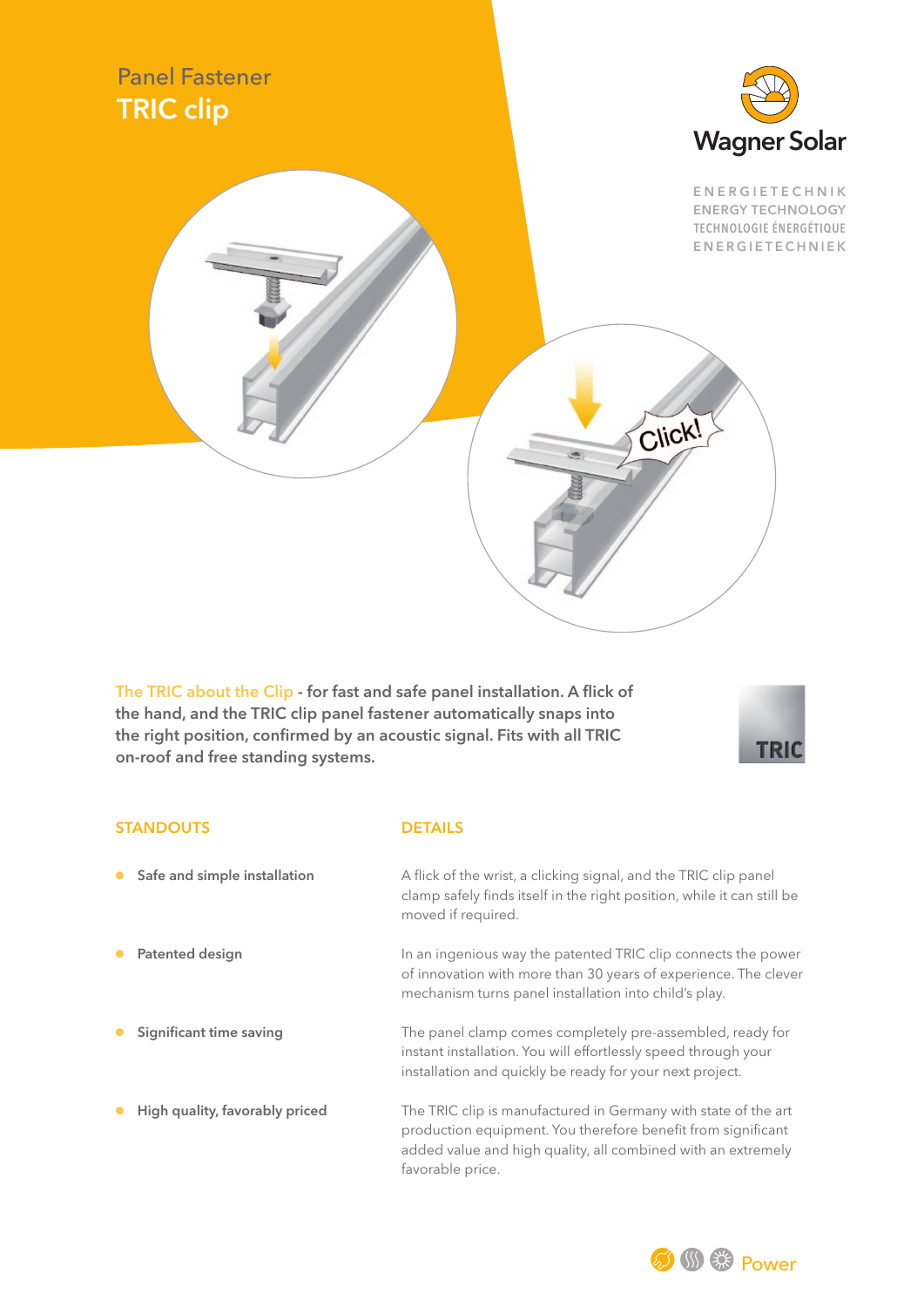

The TRIC about the Clip - for fast and safe panel installation. A flick of the hand, and the TRIC clip panel fastener automatically snaps into the right position, confirmed by an acoustic signal. Fits with all TRIC on-roof and free standing systems.



## STANDOUTS DETAILS

● Safe and simple installation <br>
A flick of the wrist, a clicking signal, and the TRIC clip panel clamp safely finds itself in the right position, while it can still be moved if required. Patented design **In an ingenious way the patented TRIC clip connects the power** of innovation with more than 30 years of experience. The clever mechanism turns panel installation into child's play. Significant time saving The panel clamp comes completely pre-assembled, ready for instant installation. You will effortlessly speed through your installation and quickly be ready for your next project. ● High quality, favorably priced The TRIC clip is manufactured in Germany with state of the art production equipment. You therefore benefit from significant added value and high quality, all combined with an extremely favorable price.